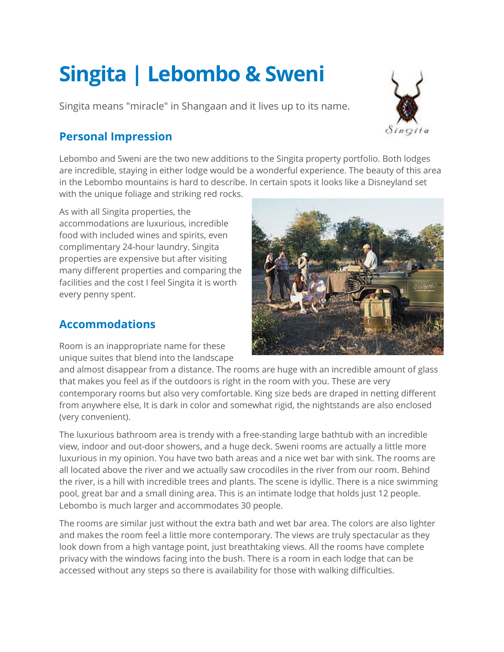# **Singita | Lebombo & Sweni**

Singita means "miracle" in Shangaan and it lives up to its name.



## **Personal Impression**

Lebombo and Sweni are the two new additions to the Singita property portfolio. Both lodges are incredible, staying in either lodge would be a wonderful experience. The beauty of this area in the Lebombo mountains is hard to describe. In certain spots it looks like a Disneyland set with the unique foliage and striking red rocks.

As with all Singita properties, the accommodations are luxurious, incredible food with included wines and spirits, even complimentary 24-hour laundry. Singita properties are expensive but after visiting many different properties and comparing the facilities and the cost I feel Singita it is worth every penny spent.

### **Accommodations**

Room is an inappropriate name for these unique suites that blend into the landscape



and almost disappear from a distance. The rooms are huge with an incredible amount of glass that makes you feel as if the outdoors is right in the room with you. These are very contemporary rooms but also very comfortable. King size beds are draped in netting different from anywhere else, It is dark in color and somewhat rigid, the nightstands are also enclosed (very convenient).

The luxurious bathroom area is trendy with a free-standing large bathtub with an incredible view, indoor and out-door showers, and a huge deck. Sweni rooms are actually a little more luxurious in my opinion. You have two bath areas and a nice wet bar with sink. The rooms are all located above the river and we actually saw crocodiles in the river from our room. Behind the river, is a hill with incredible trees and plants. The scene is idyllic. There is a nice swimming pool, great bar and a small dining area. This is an intimate lodge that holds just 12 people. Lebombo is much larger and accommodates 30 people.

The rooms are similar just without the extra bath and wet bar area. The colors are also lighter and makes the room feel a little more contemporary. The views are truly spectacular as they look down from a high vantage point, just breathtaking views. All the rooms have complete privacy with the windows facing into the bush. There is a room in each lodge that can be accessed without any steps so there is availability for those with walking difficulties.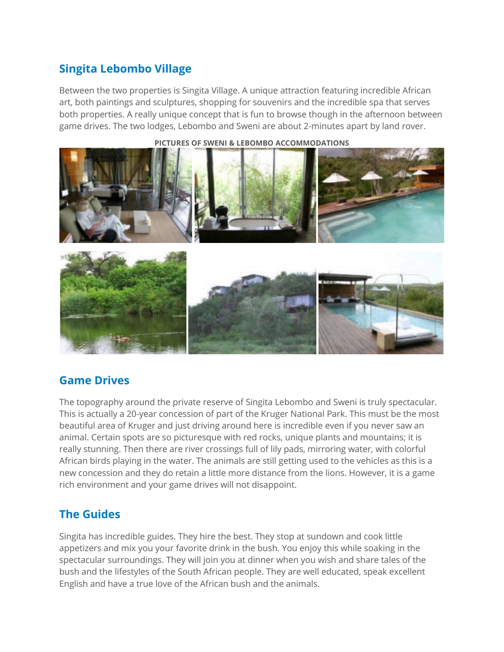## **Singita Lebombo Village**

Between the two properties is Singita Village. A unique attraction featuring incredible African art, both paintings and sculptures, shopping for souvenirs and the incredible spa that serves both properties. A really unique concept that is fun to browse though in the afternoon between game drives. The two lodges, Lebombo and Sweni are about 2-minutes apart by land rover.



**PICTURES OF SWENI & LEBOMBO ACCOMMODATIONS**

#### **Game Drives**

The topography around the private reserve of Singita Lebombo and Sweni is truly spectacular. This is actually a 20-year concession of part of the Kruger National Park. This must be the most beautiful area of Kruger and just driving around here is incredible even if you never saw an animal. Certain spots are so picturesque with red rocks, unique plants and mountains; it is really stunning. Then there are river crossings full of lily pads, mirroring water, with colorful African birds playing in the water. The animals are still getting used to the vehicles as this is a new concession and they do retain a little more distance from the lions. However, it is a game rich environment and your game drives will not disappoint.

#### **The Guides**

Singita has incredible guides. They hire the best. They stop at sundown and cook little appetizers and mix you your favorite drink in the bush. You enjoy this while soaking in the spectacular surroundings. They will join you at dinner when you wish and share tales of the bush and the lifestyles of the South African people. They are well educated, speak excellent English and have a true love of the African bush and the animals.